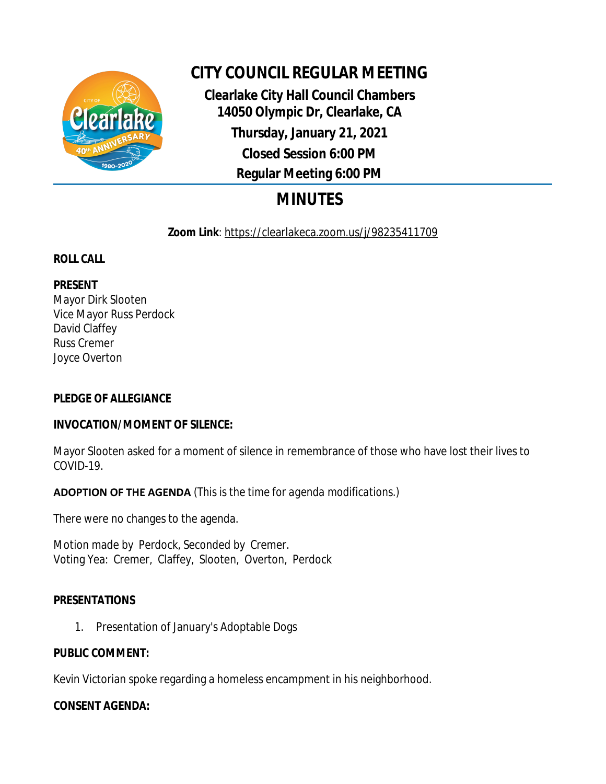

# **CITY COUNCIL REGULAR MEETING**

**Clearlake City Hall Council Chambers 14050 Olympic Dr, Clearlake, CA Thursday, January 21, 2021 Closed Session 6:00 PM Regular Meeting 6:00 PM**

# **MINUTES**

**Zoom Link**: https://clearlakeca.zoom.us/j/98235411709

## **ROLL CALL**

## **PRESENT**

Mayor Dirk Slooten Vice Mayor Russ Perdock David Claffey Russ Cremer Joyce Overton

## **PLEDGE OF ALLEGIANCE**

### **INVOCATION/MOMENT OF SILENCE:**

Mayor Slooten asked for a moment of silence in remembrance of those who have lost their lives to COVID-19.

**ADOPTION OF THE AGENDA** *(This is the time for agenda modifications.)*

There were no changes to the agenda.

Motion made by Perdock, Seconded by Cremer. Voting Yea: Cremer, Claffey, Slooten, Overton, Perdock

### **PRESENTATIONS**

1. Presentation of January's Adoptable Dogs

### **PUBLIC COMMENT:**

Kevin Victorian spoke regarding a homeless encampment in his neighborhood.

#### **CONSENT AGENDA:**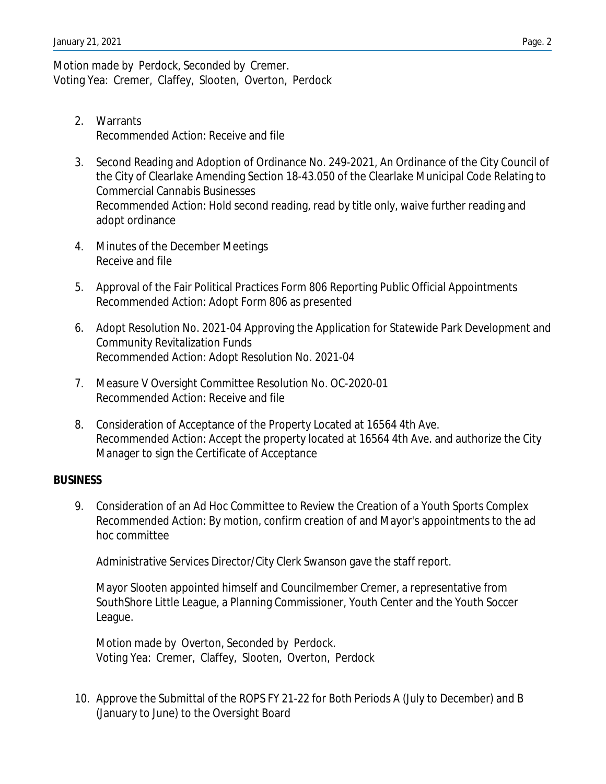Motion made by Perdock, Seconded by Cremer. Voting Yea: Cremer, Claffey, Slooten, Overton, Perdock

- 2. Warrants Recommended Action: Receive and file
- 3. Second Reading and Adoption of Ordinance No. 249-2021, An Ordinance of the City Council of the City of Clearlake Amending Section 18-43.050 of the Clearlake Municipal Code Relating to Commercial Cannabis Businesses Recommended Action: Hold second reading, read by title only, waive further reading and adopt ordinance
- 4. Minutes of the December Meetings Receive and file
- 5. Approval of the Fair Political Practices Form 806 Reporting Public Official Appointments Recommended Action: Adopt Form 806 as presented
- 6. Adopt Resolution No. 2021-04 Approving the Application for Statewide Park Development and Community Revitalization Funds Recommended Action: Adopt Resolution No. 2021-04
- 7. Measure V Oversight Committee Resolution No. OC-2020-01 Recommended Action: Receive and file
- 8. Consideration of Acceptance of the Property Located at 16564 4th Ave. Recommended Action: Accept the property located at 16564 4th Ave. and authorize the City Manager to sign the Certificate of Acceptance

#### **BUSINESS**

9. Consideration of an Ad Hoc Committee to Review the Creation of a Youth Sports Complex Recommended Action: By motion, confirm creation of and Mayor's appointments to the ad hoc committee

Administrative Services Director/City Clerk Swanson gave the staff report.

Mayor Slooten appointed himself and Councilmember Cremer, a representative from SouthShore Little League, a Planning Commissioner, Youth Center and the Youth Soccer League.

Motion made by Overton, Seconded by Perdock. Voting Yea: Cremer, Claffey, Slooten, Overton, Perdock

10. Approve the Submittal of the ROPS FY 21-22 for Both Periods A (July to December) and B (January to June) to the Oversight Board